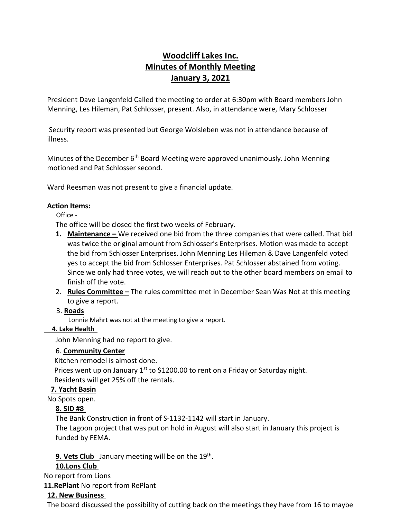# **Woodcliff Lakes Inc. Minutes of Monthly Meeting January 3, 2021**

President Dave Langenfeld Called the meeting to order at 6:30pm with Board members John Menning, Les Hileman, Pat Schlosser, present. Also, in attendance were, Mary Schlosser

Security report was presented but George Wolsleben was not in attendance because of illness.

Minutes of the December 6<sup>th</sup> Board Meeting were approved unanimously. John Menning motioned and Pat Schlosser second.

Ward Reesman was not present to give a financial update.

#### **Action Items:**

#### Office -

The office will be closed the first two weeks of February.

- **1. Maintenance –** We received one bid from the three companies that were called. That bid was twice the original amount from Schlosser's Enterprises. Motion was made to accept the bid from Schlosser Enterprises. John Menning Les Hileman & Dave Langenfeld voted yes to accept the bid from Schlosser Enterprises. Pat Schlosser abstained from voting. Since we only had three votes, we will reach out to the other board members on email to finish off the vote.
- 2. **Rules Committee –** The rules committee met in December Sean Was Not at this meeting to give a report.

3. **Roads**

Lonnie Mahrt was not at the meeting to give a report.

### **4. Lake Health**

John Menning had no report to give.

### 6. **Community Center**

Kitchen remodel is almost done.

Prices went up on January  $1<sup>st</sup>$  to \$1200.00 to rent on a Friday or Saturday night. Residents will get 25% off the rentals.

### **7. Yacht Basin**

No Spots open.

### **8. SID #8**

The Bank Construction in front of S-1132-1142 will start in January.

The Lagoon project that was put on hold in August will also start in January this project is funded by FEMA.

**9. Vets Club** January meeting will be on the 19<sup>th</sup>.

# **10.Lons Club**

No report from Lions

**11.RePlant** No report from RePlant

### **12. New Business**

The board discussed the possibility of cutting back on the meetings they have from 16 to maybe